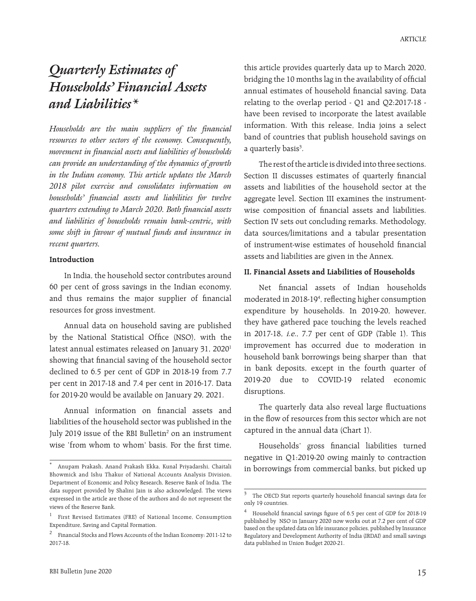# *Quarterly Estimates of Households' Financial Assets and Liabilities\**

*Households are the main suppliers of the financial resources to other sectors of the economy. Consequently, movement in financial assets and liabilities of households can provide an understanding of the dynamics of growth in the Indian economy. This article updates the March 2018 pilot exercise and consolidates information on households' financial assets and liabilities for twelve quarters extending to March 2020. Both financial assets and liabilities of households remain bank-centric, with some shift in favour of mutual funds and insurance in recent quarters.* 

#### **Introduction**

In India, the household sector contributes around 60 per cent of gross savings in the Indian economy, and thus remains the major supplier of financial resources for gross investment.

Annual data on household saving are published by the National Statistical Office (NSO), with the latest annual estimates released on January 31, 2020<sup>1</sup> showing that financial saving of the household sector declined to 6.5 per cent of GDP in 2018-19 from 7.7 per cent in 2017-18 and 7.4 per cent in 2016-17. Data for 2019-20 would be available on January 29, 2021.

Annual information on financial assets and liabilities of the household sector was published in the July 2019 issue of the RBI Bulletin<sup>2</sup> on an instrument wise 'from whom to whom' basis. For the first time,

this article provides quarterly data up to March 2020, bridging the 10 months lag in the availability of official annual estimates of household financial saving. Data relating to the overlap period - Q1 and Q2:2017-18 have been revised to incorporate the latest available information. With this release, India joins a select band of countries that publish household savings on a quarterly basis<sup>3</sup>.

The rest of the article is divided into three sections. Section II discusses estimates of quarterly financial assets and liabilities of the household sector at the aggregate level. Section III examines the instrumentwise composition of financial assets and liabilities. Section IV sets out concluding remarks. Methodology, data sources/limitations and a tabular presentation of instrument-wise estimates of household financial assets and liabilities are given in the Annex.

#### **II. Financial Assets and Liabilities of Households**

Net financial assets of Indian households moderated in 2018-194 , reflecting higher consumption expenditure by households. In 2019-20, however, they have gathered pace touching the levels reached in 2017-18, i.e., 7.7 per cent of GDP (Table 1). This improvement has occurred due to moderation in household bank borrowings being sharper than that in bank deposits, except in the fourth quarter of 2019-20 due to COVID-19 related economic disruptions.

The quarterly data also reveal large fluctuations in the flow of resources from this sector which are not captured in the annual data (Chart 1).

Households' gross financial liabilities turned negative in Q1:2019-20 owing mainly to contraction in borrowings from commercial banks, but picked up

<sup>\*</sup> Anupam Prakash, Anand Prakash Ekka, Kunal Priyadarshi, Chaitali Bhowmick and Ishu Thakur of National Accounts Analysis Division, Department of Economic and Policy Research, Reserve Bank of India. The data support provided by Shalini Jain is also acknowledged. The views expressed in the article are those of the authors and do not represent the views of the Reserve Bank.

<sup>1</sup> First Revised Estimates (FRE) of National Income, Consumption Expenditure, Saving and Capital Formation.

<sup>2</sup> Financial Stocks and Flows Accounts of the Indian Economy: 2011-12 to 2017-18.

 $^3$   $\,$  The OECD Stat reports quarterly household financial savings data for only 19 countries.

<sup>4</sup> Household financial savings figure of 6.5 per cent of GDP for 2018-19 published by NSO in January 2020 now works out at 7.2 per cent of GDP based on the updated data on life insurance policies, published by Insurance Regulatory and Development Authority of India (IRDAI) and small savings data published in Union Budget 2020-21.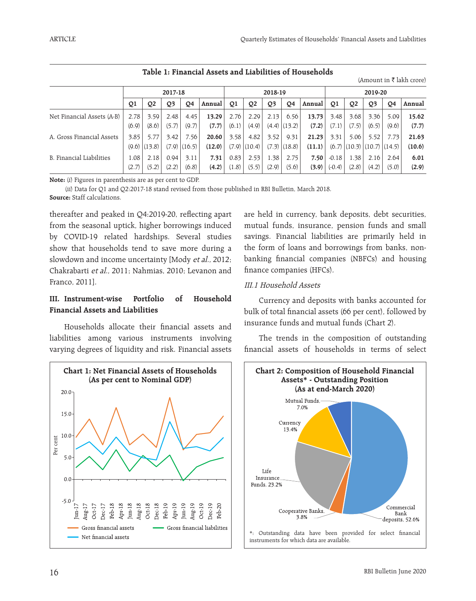|                            |       |                |         |                  |        |       |                |                |                  |        |          |                |                                    |                | (Amount in K lakh crore) |
|----------------------------|-------|----------------|---------|------------------|--------|-------|----------------|----------------|------------------|--------|----------|----------------|------------------------------------|----------------|--------------------------|
|                            |       |                | 2017-18 |                  |        |       |                | 2018-19        |                  |        |          |                | 2019-20                            |                |                          |
|                            | Q1    | Q <sub>2</sub> | Q3      | Q4               | Annual | Q1    | Q <sub>2</sub> | Q <sub>3</sub> | Q <sub>4</sub>   | Annual | Q1       | Q <sub>2</sub> | Q <sub>3</sub>                     | Q <sub>4</sub> | Annual                   |
| Net Financial Assets (A-B) | 2.78  | 3.59           | 2.48    | 4.45             | 13.29  | 2.76  | 2.29           | 2.13           | 6.56             | 13.73  | 3.48     | 3.68           | 3.36                               | 5.09           | 15.62                    |
|                            | (6.9) | (8.6)          | (5.7)   | (9.7)            | (7.7)  | (6.1) | (4.9)          |                | $(4.4)$ $(13.2)$ | (7.2)  | (7.1)    | (7.5)          | (6.5)                              | (9.6)          | (7.7)                    |
| A. Gross Financial Assets  | 3.85  | 5.77           | 3.42    | 7.56             | 20.60  | 3.58  | 4.82           | 3.52           | 9.31             | 21.23  | 3.31     | 5.06           | 5.52                               | 7.73           | 21.63                    |
|                            | (9.6) | (13.8)         |         | $(7.9)$ $(16.5)$ | (12.0) | (7.9) | (10.4)         |                | $(7.3)$ $(18.8)$ | (11.1) |          |                | $(6.7)$ $(10.3)$ $(10.7)$ $(14.5)$ |                | (10.6)                   |
| B. Financial Liabilities   | 1.08  | 2.18           | 0.94    | 3.11             | 7.31   | 0.83  | 2.53           | 1.38           | 2.75             | 7.50   | $-0.18$  | 1.38           | 2.16                               | 2.64           | 6.01                     |
|                            | (2.7) | (5.2)          | (2.2)   | (6.8)            | (4.2)  | (1.8) | (5.5)          | (2.9)          | (5.6)            | (3.9)  | $(-0.4)$ | (2.8)          | (4.2)                              | (5.0)          | (2.9)                    |

**Table 1: Financial Assets and Liabilities of Households**

(Amount in  $\bar{\bar{\tau}}$  lakh crore)

**Note:** (i) Figures in parenthesis are as per cent to GDP.

(ii) Data for Q1 and Q2:2017-18 stand revised from those published in RBI Bulletin, March 2018. **Source:** Staff calculations.

thereafter and peaked in Q4:2019-20, reflecting apart from the seasonal uptick, higher borrowings induced by COVID-19 related hardships. Several studies show that households tend to save more during a slowdown and income uncertainty [Mody et al., 2012; Chakrabarti et al., 2011; Nahmias, 2010; Levanon and Franco, 2011].

## **III. Instrument-wise Portfolio of Household Financial Assets and Liabilities**

Households allocate their financial assets and liabilities among various instruments involving varying degrees of liquidity and risk. Financial assets



are held in currency, bank deposits, debt securities, mutual funds, insurance, pension funds and small savings. Financial liabilities are primarily held in the form of loans and borrowings from banks, nonbanking financial companies (NBFCs) and housing finance companies (HFCs).

## III.1 Household Assets

Currency and deposits with banks accounted for bulk of total financial assets (66 per cent), followed by insurance funds and mutual funds (Chart 2).

The trends in the composition of outstanding financial assets of households in terms of select

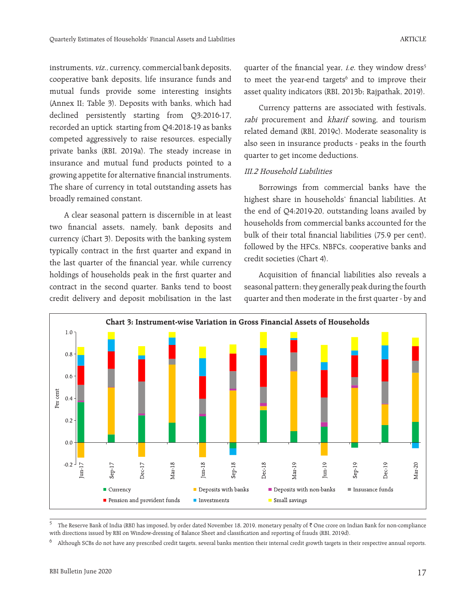instruments, viz., currency, commercial bank deposits, cooperative bank deposits, life insurance funds and mutual funds provide some interesting insights (Annex II; Table 3). Deposits with banks, which had declined persistently starting from Q3:2016-17, recorded an uptick starting from Q4:2018-19 as banks competed aggressively to raise resources, especially private banks (RBI, 2019a). The steady increase in insurance and mutual fund products pointed to a growing appetite for alternative financial instruments. The share of currency in total outstanding assets has broadly remained constant.

A clear seasonal pattern is discernible in at least two financial assets, namely, bank deposits and currency (Chart 3). Deposits with the banking system typically contract in the first quarter and expand in the last quarter of the financial year, while currency holdings of households peak in the first quarter and contract in the second quarter. Banks tend to boost credit delivery and deposit mobilisation in the last

quarter of the financial year, i.e. they window dress<sup>5</sup> to meet the year-end targets $6$  and to improve their asset quality indicators (RBI, 2013b; Rajpathak, 2019).

Currency patterns are associated with festivals, rabi procurement and kharif sowing, and tourism related demand (RBI, 2019c). Moderate seasonality is also seen in insurance products - peaks in the fourth quarter to get income deductions.

#### III.2 Household Liabilities

Borrowings from commercial banks have the highest share in households' financial liabilities. At the end of Q4:2019-20, outstanding loans availed by households from commercial banks accounted for the bulk of their total financial liabilities (75.9 per cent), followed by the HFCs, NBFCs, cooperative banks and credit societies (Chart 4).

Acquisition of financial liabilities also reveals a seasonal pattern; they generally peak during the fourth quarter and then moderate in the first quarter - by and



The Reserve Bank of India (RBI) has imposed, by order dated November 18, 2019, monetary penalty of  $\bar{\tau}$  One crore on Indian Bank for non-compliance with directions issued by RBI on Window-dressing of Balance Sheet and classification and reporting of frauds (RBI, 2019d).

<sup>6</sup> Although SCBs do not have any prescribed credit targets, several banks mention their internal credit growth targets in their respective annual reports.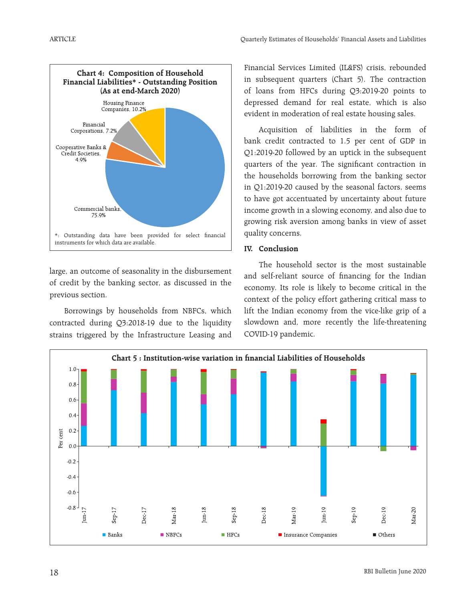

large, an outcome of seasonality in the disbursement of credit by the banking sector, as discussed in the previous section.

Borrowings by households from NBFCs, which contracted during Q3:2018-19 due to the liquidity strains triggered by the Infrastructure Leasing and Financial Services Limited (IL&FS) crisis, rebounded in subsequent quarters (Chart 5). The contraction of loans from HFCs during Q3:2019-20 points to depressed demand for real estate, which is also evident in moderation of real estate housing sales.

Acquisition of liabilities in the form of bank credit contracted to 1.5 per cent of GDP in Q1:2019-20 followed by an uptick in the subsequent quarters of the year. The significant contraction in the households borrowing from the banking sector in Q1:2019-20 caused by the seasonal factors, seems to have got accentuated by uncertainty about future income growth in a slowing economy, and also due to growing risk aversion among banks in view of asset quality concerns.

## **IV. Conclusion**

The household sector is the most sustainable and self-reliant source of financing for the Indian economy. Its role is likely to become critical in the context of the policy effort gathering critical mass to lift the Indian economy from the vice-like grip of a slowdown and, more recently the life-threatening COVID-19 pandemic.

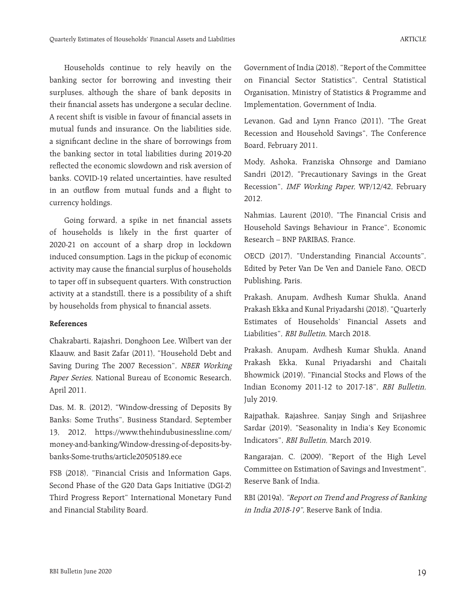Households continue to rely heavily on the banking sector for borrowing and investing their surpluses, although the share of bank deposits in their financial assets has undergone a secular decline. A recent shift is visible in favour of financial assets in mutual funds and insurance. On the liabilities side, a significant decline in the share of borrowings from the banking sector in total liabilities during 2019-20 reflected the economic slowdown and risk aversion of banks. COVID-19 related uncertainties, have resulted in an outflow from mutual funds and a flight to currency holdings.

Going forward, a spike in net financial assets of households is likely in the first quarter of 2020-21 on account of a sharp drop in lockdown induced consumption. Lags in the pickup of economic activity may cause the financial surplus of households to taper off in subsequent quarters. With construction activity at a standstill, there is a possibility of a shift by households from physical to financial assets.

#### **References**

Chakrabarti, Rajashri, Donghoon Lee, Wilbert van der Klaauw, and Basit Zafar (2011), "Household Debt and Saving During The 2007 Recession", NBER Working Paper Series, National Bureau of Economic Research, April 2011.

Das, M. R. (2012), "Window-dressing of Deposits By Banks: Some Truths", Business Standard, September 13, 2012, https://www.thehindubusinessline.com/ money-and-banking/Window-dressing-of-deposits-bybanks-Some-truths/article20505189.ece

FSB (2018), "Financial Crisis and Information Gaps, Second Phase of the G20 Data Gaps Initiative (DGI-2) Third Progress Report" International Monetary Fund and Financial Stability Board.

Government of India (2018), "Report of the Committee on Financial Sector Statistics", Central Statistical Organisation, Ministry of Statistics & Programme and Implementation, Government of India.

Levanon, Gad and Lynn Franco (2011), "The Great Recession and Household Savings", The Conference Board, February 2011.

Mody, Ashoka, Franziska Ohnsorge and Damiano Sandri (2012), "Precautionary Savings in the Great Recession", IMF Working Paper, WP/12/42, February 2012.

Nahmias, Laurent (2010), "The Financial Crisis and Household Savings Behaviour in France", Economic Research – BNP PARIBAS, France.

OECD (2017), "Understanding Financial Accounts", Edited by Peter Van De Ven and Daniele Fano, OECD Publishing, Paris.

Prakash, Anupam, Avdhesh Kumar Shukla, Anand Prakash Ekka and Kunal Priyadarshi (2018), "Quarterly Estimates of Households' Financial Assets and Liabilities", RBI Bulletin, March 2018.

Prakash, Anupam, Avdhesh Kumar Shukla, Anand Prakash Ekka, Kunal Priyadarshi and Chaitali Bhowmick (2019), "Financial Stocks and Flows of the Indian Economy 2011-12 to 2017-18", RBI Bulletin, July 2019.

Rajpathak, Rajashree, Sanjay Singh and Srijashree Sardar (2019), "Seasonality in India's Key Economic Indicators", RBI Bulletin, March 2019.

Rangarajan, C. (2009), "Report of the High Level Committee on Estimation of Savings and Investment", Reserve Bank of India.

RBI (2019a), "Report on Trend and Progress of Banking in India 2018-19", Reserve Bank of India.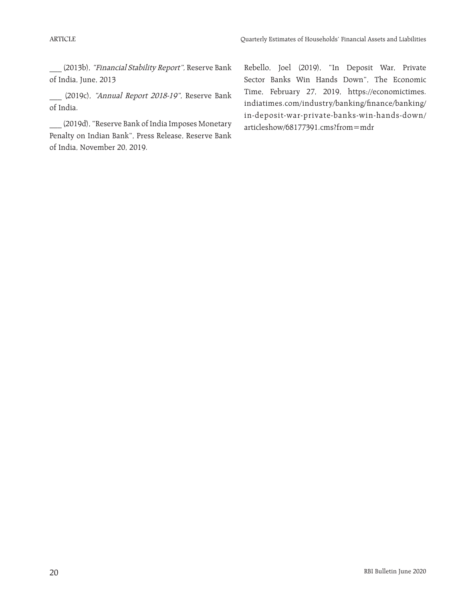\_\_\_ (2013b), "Financial Stability Report", Reserve Bank of India, June, 2013

\_\_\_ (2019c), "Annual Report 2018-19", Reserve Bank of India.

\_\_\_ (2019d), "Reserve Bank of India Imposes Monetary Penalty on Indian Bank", Press Release, Reserve Bank of India, November 20, 2019.

Rebello, Joel (2019), "In Deposit War, Private Sector Banks Win Hands Down", The Economic Time, February 27, 2019, https://economictimes. indiatimes.com/industry/banking/finance/banking/ in-deposit-war-private-banks-win-hands-down/ articleshow/68177391.cms?from=mdr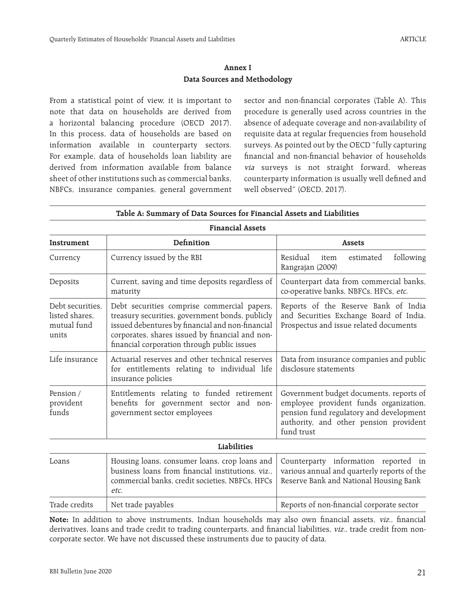### **Annex I Data Sources and Methodology**

From a statistical point of view, it is important to note that data on households are derived from a horizontal balancing procedure (OECD 2017). In this process, data of households are based on information available in counterparty sectors. For example, data of households loan liability are derived from information available from balance sheet of other institutions such as commercial banks, NBFCs, insurance companies, general government sector and non-financial corporates (Table A). This procedure is generally used across countries in the absence of adequate coverage and non-availability of requisite data at regular frequencies from household surveys. As pointed out by the OECD "fully capturing financial and non-financial behavior of households via surveys is not straight forward, whereas counterparty information is usually well defined and well observed" (OECD, 2017).

|                                                            | <b>Financial Assets</b>                                                                                                                                                                                                                              |                                                                                                                                                                                      |
|------------------------------------------------------------|------------------------------------------------------------------------------------------------------------------------------------------------------------------------------------------------------------------------------------------------------|--------------------------------------------------------------------------------------------------------------------------------------------------------------------------------------|
| <b>Instrument</b>                                          | Definition                                                                                                                                                                                                                                           | <b>Assets</b>                                                                                                                                                                        |
| Currency                                                   | Currency issued by the RBI                                                                                                                                                                                                                           | Residual<br>following<br>item<br>estimated<br>Rangrajan (2009)                                                                                                                       |
| Deposits                                                   | Current, saving and time deposits regardless of<br>maturity                                                                                                                                                                                          | Counterpart data from commercial banks,<br>co-operative banks, NBFCs, HFCs, etc.                                                                                                     |
| Debt securities.<br>listed shares,<br>mutual fund<br>units | Debt securities comprise commercial papers,<br>treasury securities, government bonds, publicly<br>issued debentures by financial and non-financial<br>corporates, shares issued by financial and non-<br>financial corporation through public issues | Reports of the Reserve Bank of India<br>and Securities Exchange Board of India.<br>Prospectus and issue related documents                                                            |
| Life insurance                                             | Actuarial reserves and other technical reserves<br>for entitlements relating to individual life<br>insurance policies                                                                                                                                | Data from insurance companies and public<br>disclosure statements                                                                                                                    |
| Pension /<br>provident<br>funds                            | Entitlements relating to funded retirement<br>benefits for government sector and non-<br>government sector employees                                                                                                                                 | Government budget documents, reports of<br>employee provident funds organization,<br>pension fund regulatory and development<br>authority, and other pension provident<br>fund trust |
|                                                            | Liabilities                                                                                                                                                                                                                                          |                                                                                                                                                                                      |
| Loans                                                      | Housing loans, consumer loans, crop loans and<br>business loans from financial institutions, viz.,<br>commercial banks, credit societies, NBFCs, HFCs<br>etc.                                                                                        | Counterparty information reported in<br>various annual and quarterly reports of the<br>Reserve Bank and National Housing Bank                                                        |
| Trade credits                                              | Net trade payables                                                                                                                                                                                                                                   | Reports of non-financial corporate sector                                                                                                                                            |

#### **Table A: Summary of Data Sources for Financial Assets and Liabilities**

Note: In addition to above instruments, Indian households may also own financial assets, viz., financial derivatives, loans and trade credit to trading counterparts, and financial liabilities, viz., trade credit from noncorporate sector. We have not discussed these instruments due to paucity of data.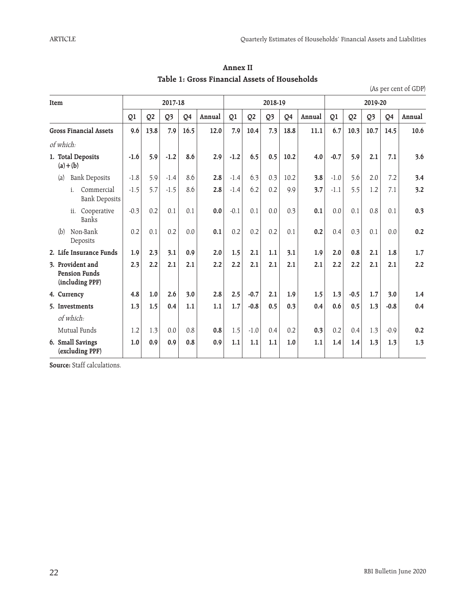| Item                                                        |        |                | 2017-18 |      |        |        |                | 2018-19 |      |        |        |                | 2019-20 |        |        |
|-------------------------------------------------------------|--------|----------------|---------|------|--------|--------|----------------|---------|------|--------|--------|----------------|---------|--------|--------|
|                                                             | Q1     | Q <sub>2</sub> | Q3      | Q4   | Annual | Q1     | Q <sub>2</sub> | Q3      | Q4   | Annual | Q1     | Q <sub>2</sub> | Q3      | Q4     | Annual |
| <b>Gross Financial Assets</b>                               | 9.6    | 13.8           | 7.9     | 16.5 | 12.0   | 7.9    | 10.4           | 7.3     | 18.8 | 11.1   | 6.7    | 10.3           | 10.7    | 14.5   | 10.6   |
| of which:                                                   |        |                |         |      |        |        |                |         |      |        |        |                |         |        |        |
| 1. Total Deposits<br>$(a)+(b)$                              | $-1.6$ | 5.9            | $-1.2$  | 8.6  | 2.9    | $-1.2$ | 6.5            | 0.5     | 10.2 | 4.0    | $-0.7$ | 5.9            | 2.1     | 7.1    | 3.6    |
| <b>Bank Deposits</b><br>(a)                                 | $-1.8$ | 5.9            | $-1.4$  | 8.6  | 2.8    | $-1.4$ | 6.3            | 0.3     | 10.2 | 3.8    | $-1.0$ | 5.6            | 2.0     | 7.2    | 3.4    |
| Commercial<br>i.<br><b>Bank Deposits</b>                    | $-1.5$ | 5.7            | $-1.5$  | 8.6  | 2.8    | $-1.4$ | 6.2            | 0.2     | 9.9  | 3.7    | $-1.1$ | 5.5            | 1.2     | 7.1    | 3.2    |
| Cooperative<br>ii.<br>Banks                                 | $-0.3$ | 0.2            | 0.1     | 0.1  | 0.0    | $-0.1$ | 0.1            | 0.0     | 0.3  | 0.1    | 0.0    | 0.1            | 0.8     | 0.1    | 0.3    |
| (b)<br>Non-Bank<br>Deposits                                 | 0.2    | 0.1            | 0.2     | 0.0  | 0.1    | 0.2    | 0.2            | 0.2     | 0.1  | 0.2    | 0.4    | 0.3            | 0.1     | 0.0    | 0.2    |
| 2. Life Insurance Funds                                     | 1.9    | 2.3            | 3.1     | 0.9  | 2.0    | 1.5    | 2.1            | 1.1     | 3.1  | 1.9    | 2.0    | 0.8            | 2.1     | 1.8    | 1.7    |
| 3. Provident and<br><b>Pension Funds</b><br>(including PPF) | 2.3    | 2.2            | 2.1     | 2.1  | 2.2    | 2.2    | 2.1            | 2.1     | 2.1  | 2.1    | 2.2    | 2.2            | 2.1     | 2.1    | 2.2    |
| 4. Currency                                                 | 4.8    | 1.0            | 2.6     | 3.0  | 2.8    | 2.5    | $-0.7$         | 2.1     | 1.9  | 1.5    | 1.3    | $-0.5$         | 1.7     | 3.0    | 1.4    |
| 5. Investments                                              | 1.3    | 1.5            | 0.4     | 1.1  | 1.1    | 1.7    | $-0.8$         | 0.5     | 0.3  | 0.4    | 0.6    | 0.5            | 1.3     | $-0.8$ | 0.4    |
| of which:                                                   |        |                |         |      |        |        |                |         |      |        |        |                |         |        |        |
| Mutual Funds                                                | 1.2    | 1.3            | 0.0     | 0.8  | 0.8    | 1.5    | $-1.0$         | 0.4     | 0.2  | 0.3    | 0.2    | 0.4            | 1.3     | $-0.9$ | 0.2    |
| 6. Small Savings<br>(excluding PPF)                         | 1.0    | 0.9            | 0.9     | 0.8  | 0.9    | 1.1    | 1.1            | 1.1     | 1.0  | 1.1    | 1.4    | 1.4            | 1.3     | 1.3    | 1.3    |

**Annex II Table 1: Gross Financial Assets of Households**

(As per cent of GDP)

**Source:** Staff calculations.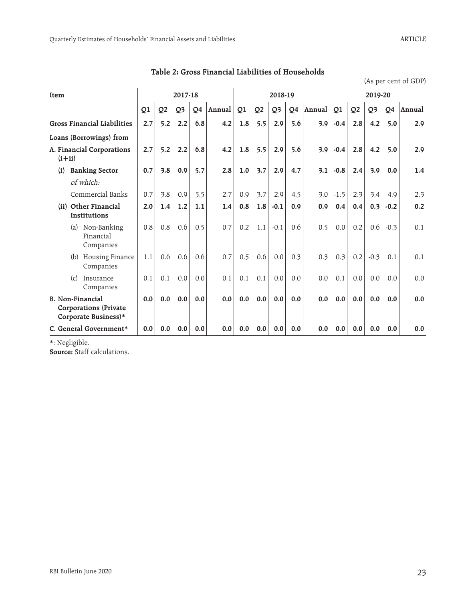(As per cent of GDP)

| Item |          |                                                                          |     |                | 2017-18        |     |        |     |                | 2018-19        |     |        |        |                | 2019-20        |        |        |
|------|----------|--------------------------------------------------------------------------|-----|----------------|----------------|-----|--------|-----|----------------|----------------|-----|--------|--------|----------------|----------------|--------|--------|
|      |          |                                                                          | Q1  | Q <sub>2</sub> | Q <sub>3</sub> | Q4  | Annual | Q1  | Q <sub>2</sub> | Q <sub>3</sub> | Q4  | Annual | Q1     | Q <sub>2</sub> | Q <sub>3</sub> | Q4     | Annual |
|      |          | <b>Gross Financial Liabilities</b>                                       | 2.7 | 5.2            | 2.2            | 6.8 | 4.2    | 1.8 | 5.5            | 2.9            | 5.6 | 3.9    | $-0.4$ | 2.8            | 4.2            | 5.0    | 2.9    |
|      |          | Loans (Borrowings) from                                                  |     |                |                |     |        |     |                |                |     |        |        |                |                |        |        |
|      | $(i+ii)$ | A. Financial Corporations                                                | 2.7 | 5.2            | 2.2            | 6.8 | 4.2    | 1.8 | 5.5            | 2.9            | 5.6 | 3.9    | $-0.4$ | 2.8            | 4.2            | 5.0    | 2.9    |
|      | (i)      | <b>Banking Sector</b>                                                    | 0.7 | 3.8            | 0.9            | 5.7 | 2.8    | 1.0 | 3.7            | 2.9            | 4.7 | 3.1    | $-0.8$ | 2.4            | 3.9            | 0.0    | 1.4    |
|      |          | of which:                                                                |     |                |                |     |        |     |                |                |     |        |        |                |                |        |        |
|      |          | Commercial Banks                                                         | 0.7 | 3.8            | 0.9            | 5.5 | 2.7    | 0.9 | 3.7            | 2.9            | 4.5 | 3.0    | $-1.5$ | 2.3            | 3.4            | 4.9    | 2.3    |
|      |          | (ii) Other Financial<br><b>Institutions</b>                              | 2.0 | 1.4            | 1.2            | 1.1 | 1.4    | 0.8 | 1.8            | $-0.1$         | 0.9 | 0.9    | 0.4    | 0.4            | 0.3            | $-0.2$ | 0.2    |
|      | (a)      | Non-Banking<br>Financial<br>Companies                                    | 0.8 | 0.8            | 0.6            | 0.5 | 0.7    | 0.2 | 1.1            | $-0.1$         | 0.6 | 0.5    | 0.0    | 0.2            | 0.6            | $-0.3$ | 0.1    |
|      | (b)      | Housing Finance<br>Companies                                             | 1.1 | 0.6            | 0.6            | 0.6 | 0.7    | 0.5 | 0.6            | 0.0            | 0.3 | 0.3    | 0.3    | 0.2            | $-0.3$         | 0.1    | 0.1    |
|      | (c)      | Insurance<br>Companies                                                   | 0.1 | 0.1            | 0.0            | 0.0 | 0.1    | 0.1 | 0.1            | 0.0            | 0.0 | 0.0    | 0.1    | 0.0            | 0.0            | 0.0    | 0.0    |
|      |          | B. Non-Financial<br><b>Corporations (Private</b><br>Corporate Business)* | 0.0 | 0.0            | 0.0            | 0.0 | 0.0    | 0.0 | 0.0            | 0.0            | 0.0 | 0.0    | 0.0    | 0.0            | 0.0            | 0.0    | 0.0    |
|      |          | C. General Government*                                                   | 0.0 | 0.0            | 0.0            | 0.0 | 0.0    | 0.0 | 0.0            | 0.0            | 0.0 | 0.0    | 0.0    | 0.0            | 0.0            | 0.0    | 0.0    |

**Table 2: Gross Financial Liabilities of Households** 

\*: Negligible.

**Source:** Staff calculations.